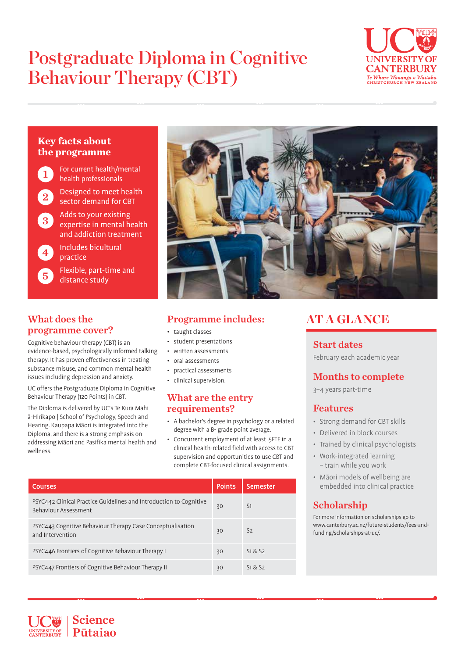# Postgraduate Diploma in Cognitive Behaviour Therapy (CBT)



## **Key facts about the programme**



For current health/mental health professionals

- Designed to meet health sector demand for CBT
- Adds to your existing expertise in mental health and addiction treatment
	- Includes bicultural practice

Flexible, part-time and distance study

## What does the programme cover?

Cognitive behaviour therapy (CBT) is an evidence-based, psychologically informed talking therapy. It has proven effectiveness in treating substance misuse, and common mental health issues including depression and anxiety.

UC offers the Postgraduate Diploma in Cognitive Behaviour Therapy (120 Points) in CBT.

The Diploma is delivered by UC's Te Kura Mahi ā-Hirikapo | School of Psychology, Speech and Hearing. Kaupapa Māori is integrated into the Diploma, and there is a strong emphasis on addressing Māori and Pasifika mental health and wellness.



## Programme includes:

- taught classes
- student presentations
- written assessments
- oral assessments
- practical assessments
- clinical supervision.

## What are the entry requirements?

- A bachelor's degree in psychology or a related degree with a B- grade point average.
- Concurrent employment of at least .5FTE in a clinical health-related field with access to CBT supervision and opportunities to use CBT and complete CBT-focused clinical assignments.

| <b>Courses</b>                                                                             | Points | Semester       |
|--------------------------------------------------------------------------------------------|--------|----------------|
| PSYC442 Clinical Practice Guidelines and Introduction to Cognitive<br>Behaviour Assessment | 30     | <sup>S1</sup>  |
| PSYC443 Cognitive Behaviour Therapy Case Conceptualisation<br>and Intervention             | 30     | S <sub>2</sub> |
| PSYC446 Frontiers of Cognitive Behaviour Therapy I                                         | 30     | S1 & S2        |
| PSYC447 Frontiers of Cognitive Behaviour Therapy II                                        | 30     | $S1$ & $S2$    |

## AT A GLANCE

## Start dates

February each academic year

## Months to complete

3–4 years part-time

## Features

- Strong demand for CBT skills
- Delivered in block courses
- Trained by clinical psychologists
- Work-integrated learning – train while you work
- Māori models of wellbeing are embedded into clinical practice

## Scholarship

For more information on scholarships go to www.canterbury.ac.nz/future-students/fees-andfunding/scholarships-at-uc/.